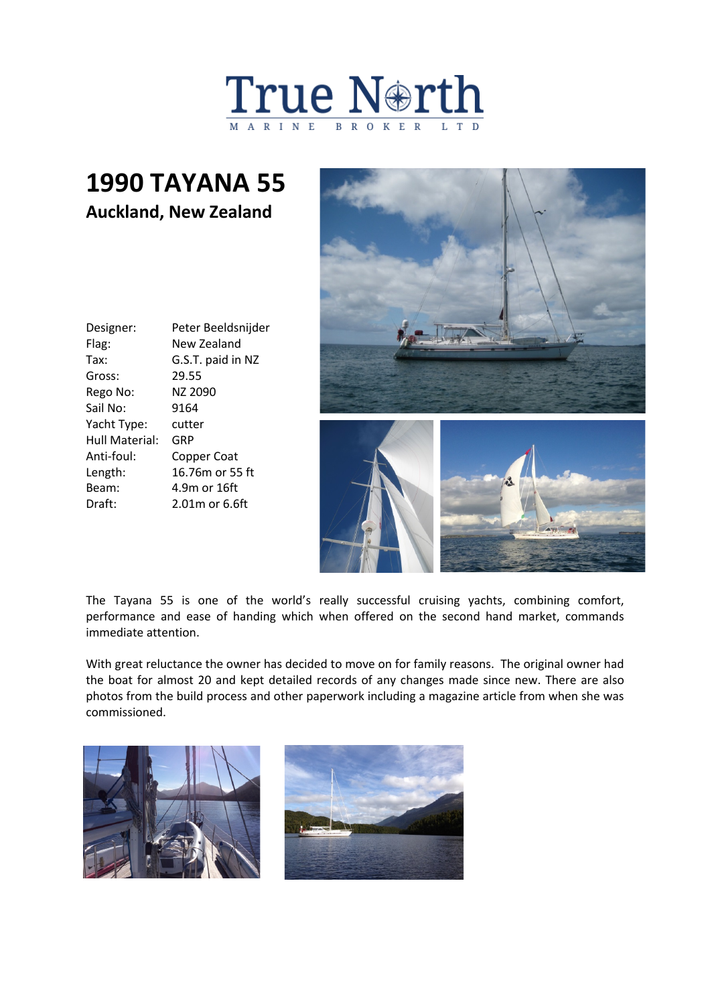

## **1990 TAYANA 55 Auckland, New Zealand**

| Designer:      | Peter Beeldsnijder |
|----------------|--------------------|
| Flag:          | New Zealand        |
| Tax:           | G.S.T. paid in NZ  |
| Gross:         | 29.55              |
| Rego No:       | NZ 2090            |
| Sail No:       | 9164               |
| Yacht Type:    | cutter             |
| Hull Material: | GRP                |
| Anti-foul:     | Copper Coat        |
| Length:        | 16.76m or 55 ft    |
| Beam:          | 4.9m or 16ft       |
| Draft:         | $2.01m$ or 6.6ft   |
|                |                    |



The Tayana 55 is one of the world's really successful cruising yachts, combining comfort, performance and ease of handing which when offered on the second hand market, commands immediate attention.

With great reluctance the owner has decided to move on for family reasons. The original owner had the boat for almost 20 and kept detailed records of any changes made since new. There are also photos from the build process and other paperwork including a magazine article from when she was commissioned.

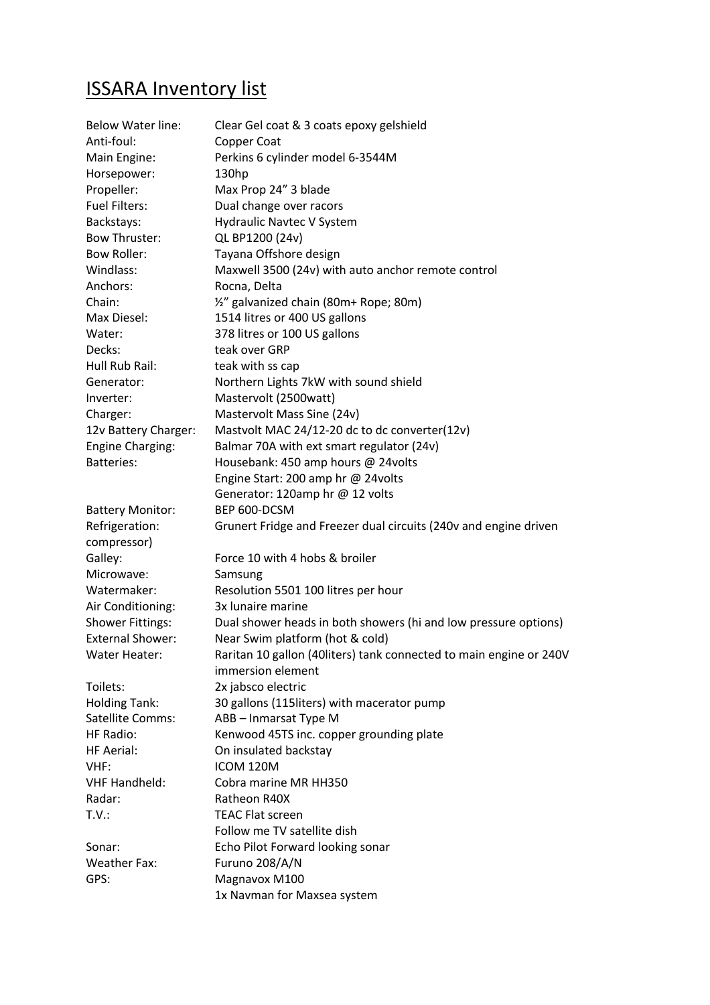## ISSARA Inventory list

| <b>Below Water line:</b> | Clear Gel coat & 3 coats epoxy gelshield                            |
|--------------------------|---------------------------------------------------------------------|
| Anti-foul:               | Copper Coat                                                         |
| Main Engine:             | Perkins 6 cylinder model 6-3544M                                    |
| Horsepower:              | 130 <sub>hp</sub>                                                   |
| Propeller:               | Max Prop 24" 3 blade                                                |
| Fuel Filters:            | Dual change over racors                                             |
| Backstays:               | Hydraulic Navtec V System                                           |
| Bow Thruster:            | QL BP1200 (24v)                                                     |
| <b>Bow Roller:</b>       | Tayana Offshore design                                              |
| Windlass:                | Maxwell 3500 (24v) with auto anchor remote control                  |
| Anchors:                 | Rocna, Delta                                                        |
| Chain:                   | 1/2" galvanized chain (80m+ Rope; 80m)                              |
| Max Diesel:              | 1514 litres or 400 US gallons                                       |
| Water:                   | 378 litres or 100 US gallons                                        |
| Decks:                   | teak over GRP                                                       |
| Hull Rub Rail:           | teak with ss cap                                                    |
| Generator:               | Northern Lights 7kW with sound shield                               |
| Inverter:                | Mastervolt (2500watt)                                               |
| Charger:                 | Mastervolt Mass Sine (24v)                                          |
| 12v Battery Charger:     | Mastvolt MAC 24/12-20 dc to dc converter(12v)                       |
| <b>Engine Charging:</b>  | Balmar 70A with ext smart regulator (24v)                           |
| <b>Batteries:</b>        | Housebank: 450 amp hours @ 24volts                                  |
|                          | Engine Start: 200 amp hr @ 24volts                                  |
|                          | Generator: 120amp hr @ 12 volts                                     |
| <b>Battery Monitor:</b>  | BEP 600-DCSM                                                        |
| Refrigeration:           | Grunert Fridge and Freezer dual circuits (240v and engine driven    |
| compressor)              |                                                                     |
| Galley:                  | Force 10 with 4 hobs & broiler                                      |
| Microwave:               | Samsung                                                             |
| Watermaker:              | Resolution 5501 100 litres per hour                                 |
| Air Conditioning:        | 3x lunaire marine                                                   |
| <b>Shower Fittings:</b>  | Dual shower heads in both showers (hi and low pressure options)     |
| <b>External Shower:</b>  | Near Swim platform (hot & cold)                                     |
| Water Heater:            | Raritan 10 gallon (40 liters) tank connected to main engine or 240V |
|                          | immersion element                                                   |
| Toilets:                 | 2x jabsco electric                                                  |
| <b>Holding Tank:</b>     | 30 gallons (115liters) with macerator pump                          |
| Satellite Comms:         | ABB - Inmarsat Type M                                               |
| HF Radio:                | Kenwood 45TS inc. copper grounding plate                            |
| <b>HF Aerial:</b>        | On insulated backstay                                               |
| VHF:                     | ICOM 120M                                                           |
| <b>VHF Handheld:</b>     | Cobra marine MR HH350                                               |
| Radar:                   | Ratheon R40X                                                        |
| T.V.:                    | <b>TEAC Flat screen</b>                                             |
|                          | Follow me TV satellite dish                                         |
| Sonar:                   | Echo Pilot Forward looking sonar                                    |
| <b>Weather Fax:</b>      | Furuno 208/A/N                                                      |
| GPS:                     | Magnavox M100                                                       |
|                          | 1x Navman for Maxsea system                                         |
|                          |                                                                     |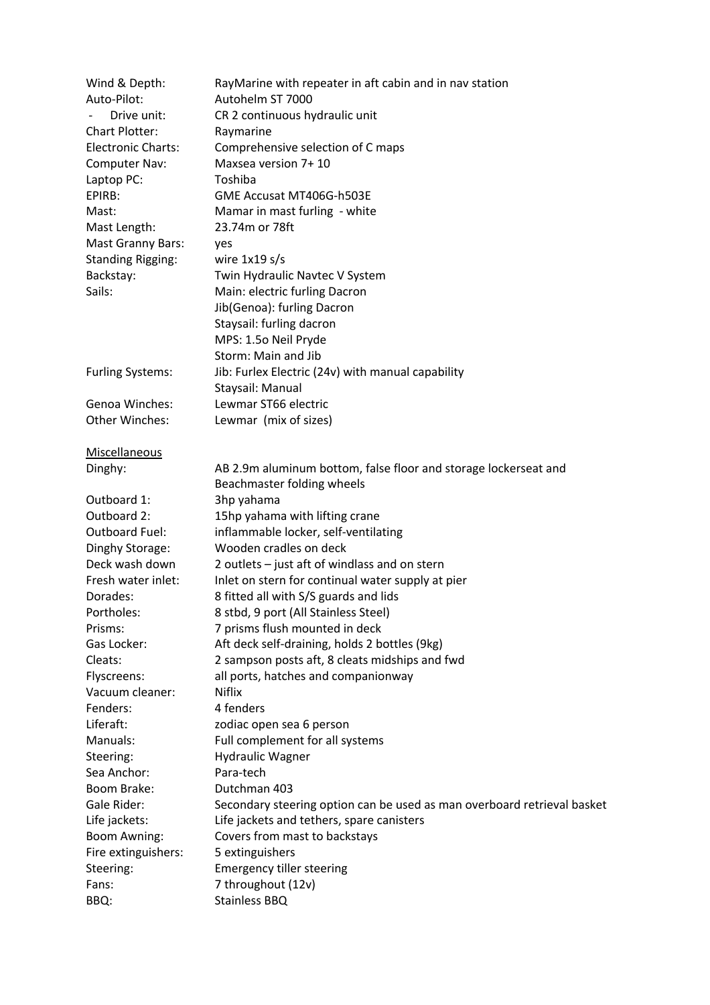| Wind & Depth:             | RayMarine with repeater in aft cabin and in nav station                 |
|---------------------------|-------------------------------------------------------------------------|
| Auto-Pilot:               | Autohelm ST 7000                                                        |
| Drive unit:               | CR 2 continuous hydraulic unit                                          |
| <b>Chart Plotter:</b>     | Raymarine                                                               |
| <b>Electronic Charts:</b> | Comprehensive selection of C maps                                       |
| Computer Nav:             | Maxsea version 7+10                                                     |
| Laptop PC:                | Toshiba                                                                 |
| EPIRB:                    | GME Accusat MT406G-h503E                                                |
| Mast:                     | Mamar in mast furling - white                                           |
| Mast Length:              | 23.74m or 78ft                                                          |
| <b>Mast Granny Bars:</b>  | yes                                                                     |
| <b>Standing Rigging:</b>  | wire $1x19 s/s$                                                         |
| Backstay:                 | Twin Hydraulic Navtec V System                                          |
| Sails:                    | Main: electric furling Dacron                                           |
|                           | Jib(Genoa): furling Dacron                                              |
|                           | Staysail: furling dacron                                                |
|                           | MPS: 1.50 Neil Pryde                                                    |
|                           | Storm: Main and Jib                                                     |
| <b>Furling Systems:</b>   | Jib: Furlex Electric (24v) with manual capability                       |
|                           | Staysail: Manual                                                        |
| <b>Genoa Winches:</b>     | Lewmar ST66 electric                                                    |
| <b>Other Winches:</b>     | Lewmar (mix of sizes)                                                   |
| Miscellaneous             |                                                                         |
| Dinghy:                   | AB 2.9m aluminum bottom, false floor and storage lockerseat and         |
|                           | Beachmaster folding wheels                                              |
| Outboard 1:               | 3hp yahama                                                              |
| Outboard 2:               | 15hp yahama with lifting crane                                          |
| Outboard Fuel:            | inflammable locker, self-ventilating                                    |
| Dinghy Storage:           | Wooden cradles on deck                                                  |
| Deck wash down            | 2 outlets - just aft of windlass and on stern                           |
| Fresh water inlet:        | Inlet on stern for continual water supply at pier                       |
| Dorades:                  | 8 fitted all with S/S guards and lids                                   |
| Portholes:                | 8 stbd, 9 port (All Stainless Steel)                                    |
| Prisms:                   | 7 prisms flush mounted in deck                                          |
| Gas Locker:               | Aft deck self-draining, holds 2 bottles (9kg)                           |
| Cleats:                   | 2 sampson posts aft, 8 cleats midships and fwd                          |
| Flyscreens:               | all ports, hatches and companionway                                     |
| Vacuum cleaner:           | <b>Niflix</b>                                                           |
| Fenders:                  | 4 fenders                                                               |
| Liferaft:                 | zodiac open sea 6 person                                                |
| Manuals:                  | Full complement for all systems                                         |
| Steering:                 | <b>Hydraulic Wagner</b>                                                 |
| Sea Anchor:               | Para-tech                                                               |
| Boom Brake:               | Dutchman 403                                                            |
| Gale Rider:               | Secondary steering option can be used as man overboard retrieval basket |
| Life jackets:             | Life jackets and tethers, spare canisters                               |
| Boom Awning:              | Covers from mast to backstays                                           |
| Fire extinguishers:       | 5 extinguishers                                                         |
| Steering:                 | <b>Emergency tiller steering</b>                                        |
| Fans:                     | 7 throughout (12v)                                                      |
| BBQ:                      | Stainless BBQ                                                           |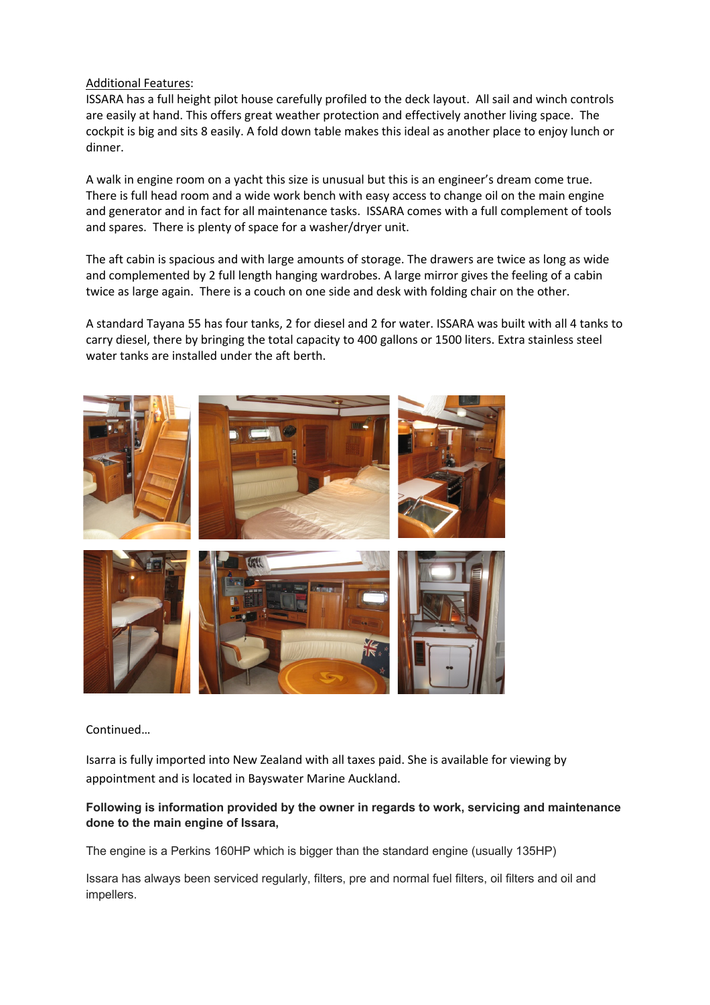## Additional Features:

ISSARA has a full height pilot house carefully profiled to the deck layout. All sail and winch controls are easily at hand. This offers great weather protection and effectively another living space. The cockpit is big and sits 8 easily. A fold down table makes this ideal as another place to enjoy lunch or dinner.

A walk in engine room on a yacht this size is unusual but this is an engineer's dream come true. There is full head room and a wide work bench with easy access to change oil on the main engine and generator and in fact for all maintenance tasks. ISSARA comes with a full complement of tools and spares. There is plenty of space for a washer/dryer unit.

The aft cabin is spacious and with large amounts of storage. The drawers are twice as long as wide and complemented by 2 full length hanging wardrobes. A large mirror gives the feeling of a cabin twice as large again. There is a couch on one side and desk with folding chair on the other.

A standard Tayana 55 has four tanks, 2 for diesel and 2 for water. ISSARA was built with all 4 tanks to carry diesel, there by bringing the total capacity to 400 gallons or 1500 liters. Extra stainless steel water tanks are installed under the aft berth.



Continued…

Isarra is fully imported into New Zealand with all taxes paid. She is available for viewing by appointment and is located in Bayswater Marine Auckland.

## **Following is information provided by the owner in regards to work, servicing and maintenance done to the main engine of Issara,**

The engine is a Perkins 160HP which is bigger than the standard engine (usually 135HP)

Issara has always been serviced regularly, filters, pre and normal fuel filters, oil filters and oil and impellers.